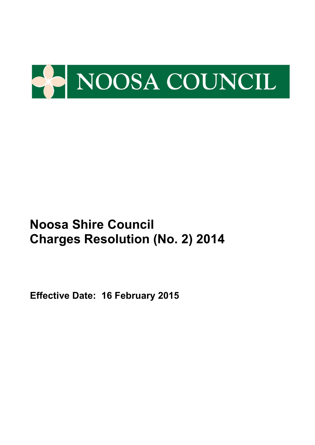

**Effective Date: 16 February 2015**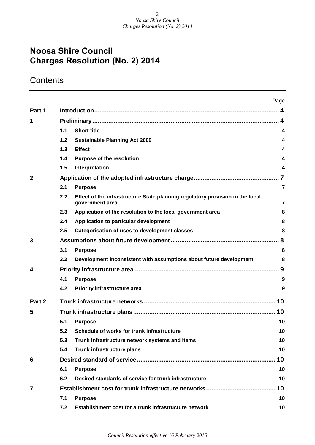## **Contents**

|        |       |                                                                                                  | Page                    |  |  |  |  |
|--------|-------|--------------------------------------------------------------------------------------------------|-------------------------|--|--|--|--|
| Part 1 |       |                                                                                                  | $\mathbf{A}$            |  |  |  |  |
| 1.     |       |                                                                                                  |                         |  |  |  |  |
|        | 1.1   | <b>Short title</b>                                                                               | 4                       |  |  |  |  |
|        | $1.2$ | <b>Sustainable Planning Act 2009</b>                                                             | 4                       |  |  |  |  |
|        | 1.3   | <b>Effect</b>                                                                                    | 4                       |  |  |  |  |
|        | 1.4   | <b>Purpose of the resolution</b>                                                                 | 4                       |  |  |  |  |
|        | 1.5   | Interpretation                                                                                   | 4                       |  |  |  |  |
| 2.     |       |                                                                                                  | $\overline{\mathbf{7}}$ |  |  |  |  |
|        | 2.1   | <b>Purpose</b>                                                                                   | $\overline{7}$          |  |  |  |  |
|        | 2.2   | Effect of the infrastructure State planning regulatory provision in the local<br>government area | $\overline{7}$          |  |  |  |  |
|        | 2.3   | Application of the resolution to the local government area                                       | 8                       |  |  |  |  |
|        | 2.4   | Application to particular development                                                            | 8                       |  |  |  |  |
|        | 2.5   | <b>Categorisation of uses to development classes</b>                                             | 8                       |  |  |  |  |
| 3.     |       |                                                                                                  | .8                      |  |  |  |  |
|        | 3.1   | <b>Purpose</b>                                                                                   | 8                       |  |  |  |  |
|        | 3.2   | Development inconsistent with assumptions about future development                               | 8                       |  |  |  |  |
| 4.     |       |                                                                                                  |                         |  |  |  |  |
|        | 4.1   | <b>Purpose</b>                                                                                   | 9                       |  |  |  |  |
|        | 4.2   | Priority infrastructure area                                                                     | 9                       |  |  |  |  |
| Part 2 |       |                                                                                                  | 10                      |  |  |  |  |
| 5.     |       |                                                                                                  | 10                      |  |  |  |  |
|        | 5.1   | <b>Purpose</b>                                                                                   | 10                      |  |  |  |  |
|        | 5.2   | <b>Schedule of works for trunk infrastructure</b>                                                | 10                      |  |  |  |  |
|        | 5.3   | Trunk infrastructure network systems and items                                                   | 10                      |  |  |  |  |
|        | 5.4   | Trunk infrastructure plans                                                                       | 10                      |  |  |  |  |
| 6.     |       |                                                                                                  | 10                      |  |  |  |  |
|        | 6.1   | <b>Purpose</b>                                                                                   | 10                      |  |  |  |  |
|        | 6.2   | Desired standards of service for trunk infrastructure                                            | 10                      |  |  |  |  |
| 7.     |       |                                                                                                  | 10                      |  |  |  |  |
|        | 7.1   | <b>Purpose</b>                                                                                   | 10                      |  |  |  |  |
|        | 7.2   | Establishment cost for a trunk infrastructure network                                            | 10                      |  |  |  |  |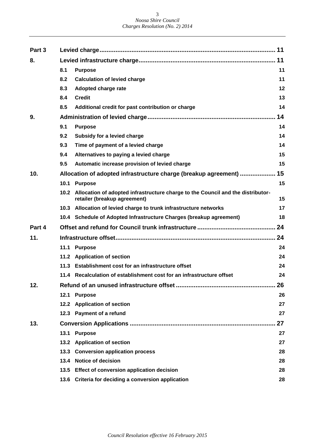| Part 3 |                   |                                                                                                                 | 11 |  |  |  |  |
|--------|-------------------|-----------------------------------------------------------------------------------------------------------------|----|--|--|--|--|
| 8.     |                   |                                                                                                                 | 11 |  |  |  |  |
|        | 8.1               | <b>Purpose</b>                                                                                                  | 11 |  |  |  |  |
|        | 8.2               | <b>Calculation of levied charge</b>                                                                             | 11 |  |  |  |  |
|        | 8.3               | Adopted charge rate                                                                                             | 12 |  |  |  |  |
|        | 8.4               | <b>Credit</b>                                                                                                   | 13 |  |  |  |  |
|        | 8.5               | Additional credit for past contribution or charge                                                               | 14 |  |  |  |  |
| 9.     |                   |                                                                                                                 | 14 |  |  |  |  |
|        | 9.1               | <b>Purpose</b>                                                                                                  | 14 |  |  |  |  |
|        | 9.2               | Subsidy for a levied charge                                                                                     | 14 |  |  |  |  |
|        | 9.3               | Time of payment of a levied charge                                                                              | 14 |  |  |  |  |
|        | 9.4               | Alternatives to paying a levied charge                                                                          | 15 |  |  |  |  |
|        | 9.5               | Automatic increase provision of levied charge                                                                   | 15 |  |  |  |  |
| 10.    |                   | Allocation of adopted infrastructure charge (breakup agreement)                                                 | 15 |  |  |  |  |
|        | 10.1              | <b>Purpose</b>                                                                                                  | 15 |  |  |  |  |
|        | 10.2 <sub>1</sub> | Allocation of adopted infrastructure charge to the Council and the distributor-<br>retailer (breakup agreement) | 15 |  |  |  |  |
|        |                   | 10.3 Allocation of levied charge to trunk infrastructure networks                                               | 17 |  |  |  |  |
|        |                   | 10.4 Schedule of Adopted Infrastructure Charges (breakup agreement)                                             | 18 |  |  |  |  |
| Part 4 |                   |                                                                                                                 | 24 |  |  |  |  |
| 11.    | 24                |                                                                                                                 |    |  |  |  |  |
|        | 11.1              | <b>Purpose</b>                                                                                                  | 24 |  |  |  |  |
|        | 11.2              | <b>Application of section</b>                                                                                   | 24 |  |  |  |  |
|        | 11.3              | Establishment cost for an infrastructure offset                                                                 | 24 |  |  |  |  |
|        |                   | 11.4 Recalculation of establishment cost for an infrastructure offset                                           | 24 |  |  |  |  |
| 12.    |                   |                                                                                                                 | 26 |  |  |  |  |
|        |                   | 12.1 Purpose                                                                                                    | 26 |  |  |  |  |
|        |                   | 12.2 Application of section                                                                                     | 27 |  |  |  |  |
|        |                   | 12.3 Payment of a refund                                                                                        | 27 |  |  |  |  |
| 13.    |                   |                                                                                                                 | 27 |  |  |  |  |
|        |                   | 13.1 Purpose                                                                                                    | 27 |  |  |  |  |
|        |                   | 13.2 Application of section                                                                                     | 27 |  |  |  |  |
|        |                   | 13.3 Conversion application process                                                                             | 28 |  |  |  |  |
|        |                   | 13.4 Notice of decision                                                                                         | 28 |  |  |  |  |
|        |                   | 13.5 Effect of conversion application decision                                                                  | 28 |  |  |  |  |
|        |                   | 13.6 Criteria for deciding a conversion application                                                             | 28 |  |  |  |  |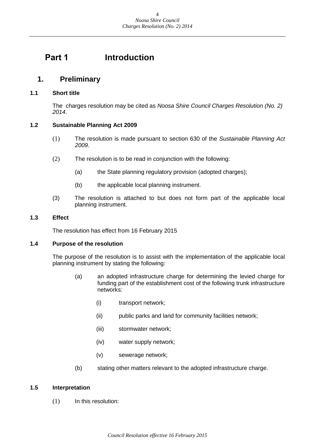## <span id="page-3-0"></span>**Part 1 Introduction**

## <span id="page-3-1"></span>**1. Preliminary**

#### <span id="page-3-2"></span>**1.1 Short title**

The charges resolution may be cited as *Noosa Shire Council Charges Resolution (No. 2) 2014*.

#### <span id="page-3-3"></span>**1.2 Sustainable Planning Act 2009**

- (1) The resolution is made pursuant to section 630 of the *Sustainable Planning Act 2009*.
- (2) The resolution is to be read in conjunction with the following:
	- (a) the State planning regulatory provision (adopted charges);
	- (b) the applicable local planning instrument.
- (3) The resolution is attached to but does not form part of the applicable local planning instrument.

#### <span id="page-3-4"></span>**1.3 Effect**

The resolution has effect from 16 February 2015

#### <span id="page-3-5"></span>**1.4 Purpose of the resolution**

The purpose of the resolution is to assist with the implementation of the applicable local planning instrument by stating the following:

- (a) an adopted infrastructure charge for determining the levied charge for funding part of the establishment cost of the following trunk infrastructure networks:
	- (i) transport network;
	- (ii) public parks and land for community facilities network;
	- (iii) stormwater network;
	- (iv) water supply network;
	- (v) sewerage network;
- (b) stating other matters relevant to the adopted infrastructure charge.

#### <span id="page-3-6"></span>**1.5 Interpretation**

(1) In this resolution: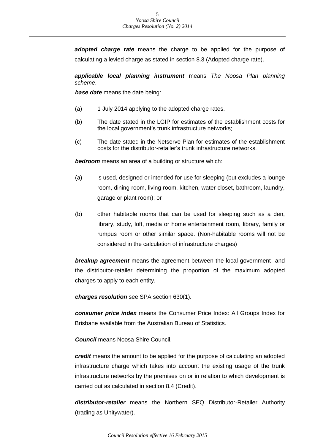*adopted charge rate* means the charge to be applied for the purpose of calculating a levied charge as stated in section 8.3 (Adopted charge rate).

*applicable local planning instrument* means *The Noosa Plan planning scheme*.

*base date* means the date being:

- (a) 1 July 2014 applying to the adopted charge rates.
- (b) The date stated in the LGIP for estimates of the establishment costs for the local government's trunk infrastructure networks;
- (c) The date stated in the Netserve Plan for estimates of the establishment costs for the distributor-retailer's trunk infrastructure networks.

*bedroom* means an area of a building or structure which:

- (a) is used, designed or intended for use for sleeping (but excludes a lounge room, dining room, living room, kitchen, water closet, bathroom, laundry, garage or plant room); or
- (b) other habitable rooms that can be used for sleeping such as a den, library, study, loft, media or home entertainment room, library, family or rumpus room or other similar space. (Non-habitable rooms will not be considered in the calculation of infrastructure charges)

*breakup agreement* means the agreement between the local government and the distributor-retailer determining the proportion of the maximum adopted charges to apply to each entity.

*charges resolution* see SPA section 630(1).

*consumer price index* means the Consumer Price Index: All Groups Index for Brisbane available from the Australian Bureau of Statistics.

*Council* means Noosa Shire Council.

*credit* means the amount to be applied for the purpose of calculating an adopted infrastructure charge which takes into account the existing usage of the trunk infrastructure networks by the premises on or in relation to which development is carried out as calculated in section 8.4 (Credit).

*distributor-retailer* means the Northern SEQ Distributor-Retailer Authority (trading as Unitywater).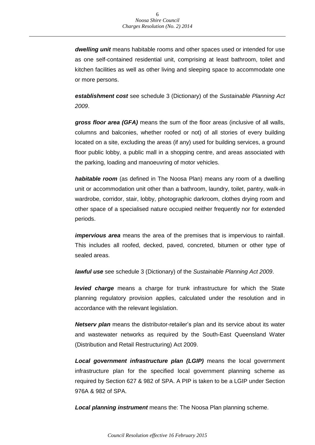*dwelling unit* means habitable rooms and other spaces used or intended for use as one self-contained residential unit, comprising at least bathroom, toilet and kitchen facilities as well as other living and sleeping space to accommodate one or more persons.

*establishment cost* see schedule 3 (Dictionary) of the *Sustainable Planning Act 2009*.

*gross floor area (GFA)* means the sum of the floor areas (inclusive of all walls, columns and balconies, whether roofed or not) of all stories of every building located on a site, excluding the areas (if any) used for building services, a ground floor public lobby, a public mall in a shopping centre, and areas associated with the parking, loading and manoeuvring of motor vehicles.

*habitable room* (as defined in The Noosa Plan) means any room of a dwelling unit or accommodation unit other than a bathroom, laundry, toilet, pantry, walk-in wardrobe, corridor, stair, lobby, photographic darkroom, clothes drying room and other space of a specialised nature occupied neither frequently nor for extended periods.

*impervious area* means the area of the premises that is impervious to rainfall. This includes all roofed, decked, paved, concreted, bitumen or other type of sealed areas.

*lawful use* see schedule 3 (Dictionary) of the *Sustainable Planning Act 2009*.

*levied charge* means a charge for trunk infrastructure for which the State planning regulatory provision applies, calculated under the resolution and in accordance with the relevant legislation.

*Netserv plan* means the distributor-retailer's plan and its service about its water and wastewater networks as required by the South-East Queensland Water (Distribution and Retail Restructuring) Act 2009.

*Local government infrastructure plan (LGIP)* means the local government infrastructure plan for the specified local government planning scheme as required by Section 627 & 982 of SPA. A PIP is taken to be a LGIP under Section 976A & 982 of SPA.

*Local planning instrument* means the: The Noosa Plan planning scheme.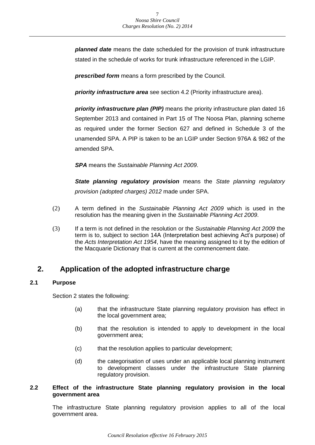*planned date* means the date scheduled for the provision of trunk infrastructure stated in the schedule of works for trunk infrastructure referenced in the LGIP.

*prescribed form* means a form prescribed by the Council.

*priority infrastructure area* see section 4.2 (Priority infrastructure area).

*priority infrastructure plan (PIP)* means the priority infrastructure plan dated 16 September 2013 and contained in Part 15 of The Noosa Plan, planning scheme as required under the former Section 627 and defined in Schedule 3 of the unamended SPA. A PIP is taken to be an LGIP under Section 976A & 982 of the amended SPA.

*SPA* means the *Sustainable Planning Act 2009*.

*State planning regulatory provision* means the *State planning regulatory provision (adopted charges) 2012* made under SPA.

- (2) A term defined in the *Sustainable Planning Act 2009* which is used in the resolution has the meaning given in the *Sustainable Planning Act 2009*.
- (3) If a term is not defined in the resolution or the *Sustainable Planning Act 2009* the term is to, subject to section 14A (Interpretation best achieving Act's purpose) of the *Acts Interpretation Act 1954*, have the meaning assigned to it by the edition of the Macquarie Dictionary that is current at the commencement date.

## <span id="page-6-0"></span>**2. Application of the adopted infrastructure charge**

#### <span id="page-6-1"></span>**2.1 Purpose**

Section 2 states the following:

- (a) that the infrastructure State planning regulatory provision has effect in the local government area;
- (b) that the resolution is intended to apply to development in the local government area;
- (c) that the resolution applies to particular development;
- (d) the categorisation of uses under an applicable local planning instrument to development classes under the infrastructure State planning regulatory provision.

#### <span id="page-6-2"></span>**2.2 Effect of the infrastructure State planning regulatory provision in the local government area**

The infrastructure State planning regulatory provision applies to all of the local government area.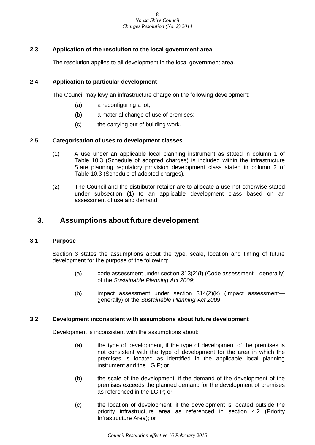#### <span id="page-7-0"></span>**2.3 Application of the resolution to the local government area**

The resolution applies to all development in the local government area.

#### <span id="page-7-1"></span>**2.4 Application to particular development**

The Council may levy an infrastructure charge on the following development:

- (a) a reconfiguring a lot;
- (b) a material change of use of premises;
- (c) the carrying out of building work.

#### <span id="page-7-2"></span>**2.5 Categorisation of uses to development classes**

- (1) A use under an applicable local planning instrument as stated in column 1 of Table 10.3 (Schedule of adopted charges) is included within the infrastructure State planning regulatory provision development class stated in column 2 of Table 10.3 (Schedule of adopted charges).
- (2) The Council and the distributor-retailer are to allocate a use not otherwise stated under subsection (1) to an applicable development class based on an assessment of use and demand.

## <span id="page-7-3"></span>**3. Assumptions about future development**

#### <span id="page-7-4"></span>**3.1 Purpose**

Section 3 states the assumptions about the type, scale, location and timing of future development for the purpose of the following:

- (a) code assessment under section 313(2)(f) (Code assessment—generally) of the *Sustainable Planning Act 2009*;
- (b) impact assessment under section 314(2)(k) (Impact assessment generally) of the *Sustainable Planning Act 2009*.

#### <span id="page-7-5"></span>**3.2 Development inconsistent with assumptions about future development**

Development is inconsistent with the assumptions about:

- (a) the type of development, if the type of development of the premises is not consistent with the type of development for the area in which the premises is located as identified in the applicable local planning instrument and the LGIP; or
- (b) the scale of the development, if the demand of the development of the premises exceeds the planned demand for the development of premises as referenced in the LGIP; or
- (c) the location of development, if the development is located outside the priority infrastructure area as referenced in section 4.2 (Priority Infrastructure Area); or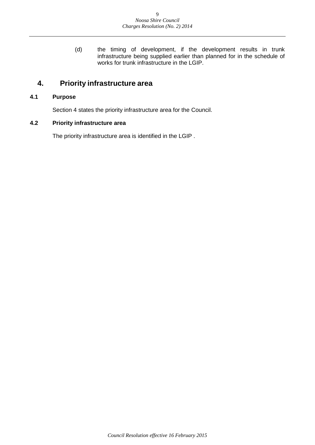(d) the timing of development, if the development results in trunk infrastructure being supplied earlier than planned for in the schedule of works for trunk infrastructure in the LGIP.

## <span id="page-8-0"></span>**4. Priority infrastructure area**

#### <span id="page-8-1"></span>**4.1 Purpose**

Section 4 states the priority infrastructure area for the Council.

#### <span id="page-8-2"></span>**4.2 Priority infrastructure area**

The priority infrastructure area is identified in the LGIP .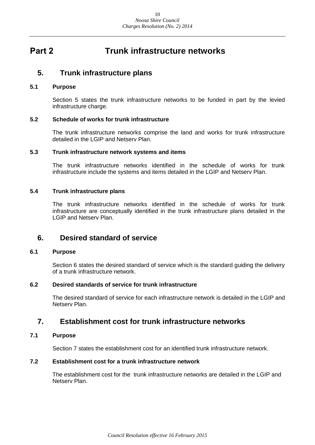## <span id="page-9-0"></span>**Part 2 Trunk infrastructure networks**

### <span id="page-9-1"></span>**5. Trunk infrastructure plans**

#### <span id="page-9-2"></span>**5.1 Purpose**

Section 5 states the trunk infrastructure networks to be funded in part by the levied infrastructure charge.

#### <span id="page-9-3"></span>**5.2 Schedule of works for trunk infrastructure**

The trunk infrastructure networks comprise the land and works for trunk infrastructure detailed in the LGIP and Netserv Plan.

#### <span id="page-9-4"></span>**5.3 Trunk infrastructure network systems and items**

The trunk infrastructure networks identified in the schedule of works for trunk infrastructure include the systems and items detailed in the LGIP and Netserv Plan.

#### <span id="page-9-5"></span>**5.4 Trunk infrastructure plans**

The trunk infrastructure networks identified in the schedule of works for trunk infrastructure are conceptually identified in the trunk infrastructure plans detailed in the LGIP and Netserv Plan.

### <span id="page-9-6"></span>**6. Desired standard of service**

#### <span id="page-9-7"></span>**6.1 Purpose**

Section 6 states the desired standard of service which is the standard guiding the delivery of a trunk infrastructure network.

#### <span id="page-9-8"></span>**6.2 Desired standards of service for trunk infrastructure**

The desired standard of service for each infrastructure network is detailed in the LGIP and Netserv Plan.

## <span id="page-9-9"></span>**7. Establishment cost for trunk infrastructure networks**

#### <span id="page-9-10"></span>**7.1 Purpose**

Section 7 states the establishment cost for an identified trunk infrastructure network.

#### <span id="page-9-11"></span>**7.2 Establishment cost for a trunk infrastructure network**

The establishment cost for the trunk infrastructure networks are detailed in the LGIP and Netserv Plan.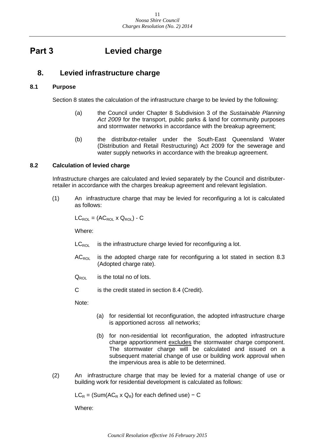## <span id="page-10-0"></span>**Part 3 Levied charge**

## <span id="page-10-1"></span>**8. Levied infrastructure charge**

#### <span id="page-10-2"></span>**8.1 Purpose**

Section 8 states the calculation of the infrastructure charge to be levied by the following:

- (a) the Council under Chapter 8 Subdivision 3 of the *Sustainable Planning Act 2009* for the transport, public parks & land for community purposes and stormwater networks in accordance with the breakup agreement;
- (b) the distributor-retailer under the South-East Queensland Water (Distribution and Retail Restructuring) Act 2009 for the sewerage and water supply networks in accordance with the breakup agreement.

#### <span id="page-10-3"></span>**8.2 Calculation of levied charge**

Infrastructure charges are calculated and levied separately by the Council and distributerretailer in accordance with the charges breakup agreement and relevant legislation.

(1) An infrastructure charge that may be levied for reconfiguring a lot is calculated as follows:

 $LC_{\text{ROL}} = (AC_{\text{ROI}} \times Q_{\text{ROI}}) - C$ 

Where:

- $LC_{\text{ROL}}$  is the infrastructure charge levied for reconfiguring a lot.
- $AC_{\text{ROL}}$  is the adopted charge rate for reconfiguring a lot stated in section 8.3 (Adopted charge rate).
- $Q_{\text{ROL}}$  is the total no of lots.
- C is the credit stated in section 8.4 (Credit).

Note:

- (a) for residential lot reconfiguration, the adopted infrastructure charge is apportioned across all networks;
- (b) for non-residential lot reconfiguration, the adopted infrastructure charge apportionment excludes the stormwater charge component. The stormwater charge will be calculated and issued on a subsequent material change of use or building work approval when the impervious area is able to be determined.
- (2) An infrastructure charge that may be levied for a material change of use or building work for residential development is calculated as follows:

 $LC_R = (Sum(AC_R \times Q_R)$  for each defined use) – C

Where: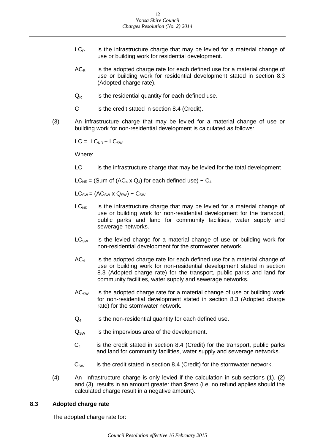- $LC_R$  is the infrastructure charge that may be levied for a material change of use or building work for residential development.
- $AC<sub>R</sub>$  is the adopted charge rate for each defined use for a material change of use or building work for residential development stated in section 8.3 (Adopted charge rate).
- $Q_R$  is the residential quantity for each defined use.
- C is the credit stated in section 8.4 (Credit).
- (3) An infrastructure charge that may be levied for a material change of use or building work for non-residential development is calculated as follows:

 $LC = LC_{NR} + LC_{SW}$ 

Where:

LC is the infrastructure charge that may be levied for the total development

 $LC_{NR}$  = (Sum of (AC<sub>4</sub> x Q<sub>4</sub>) for each defined use) – C<sub>4</sub>

 $LC_{SW} = (AC_{SW} \times Q_{SW}) - C_{SW}$ 

- $LC_{NR}$  is the infrastructure charge that may be levied for a material change of use or building work for non-residential development for the transport, public parks and land for community facilities, water supply and sewerage networks.
- $LC<sub>SW</sub>$  is the levied charge for a material change of use or building work for non-residential development for the stormwater network.
- $AC<sub>4</sub>$  is the adopted charge rate for each defined use for a material change of use or building work for non-residential development stated in section 8.3 (Adopted charge rate) for the transport, public parks and land for community facilities, water supply and sewerage networks.
- $AC_{SW}$  is the adopted charge rate for a material change of use or building work for non-residential development stated in section 8.3 (Adopted charge rate) for the stormwater network.
- $Q_4$  is the non-residential quantity for each defined use.
- $Q_{SW}$  is the impervious area of the development.
- $C_4$  is the credit stated in section 8.4 (Credit) for the transport, public parks and land for community facilities, water supply and sewerage networks.
- $C_{\text{SW}}$  is the credit stated in section 8.4 (Credit) for the stormwater network.
- (4) An infrastructure charge is only levied if the calculation in sub-sections (1), (2) and (3) results in an amount greater than \$zero (i.e. no refund applies should the calculated charge result in a negative amount).

#### <span id="page-11-0"></span>**8.3 Adopted charge rate**

The adopted charge rate for: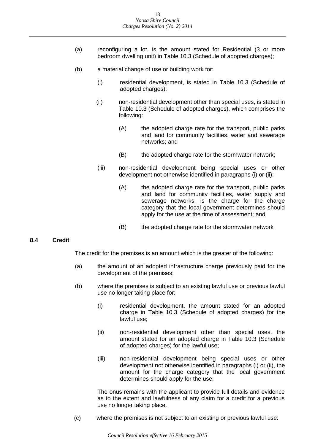- (a) reconfiguring a lot, is the amount stated for Residential (3 or more bedroom dwelling unit) in Table 10.3 (Schedule of adopted charges);
- (b) a material change of use or building work for:
	- (i) residential development, is stated in Table 10.3 (Schedule of adopted charges);
	- (ii) non-residential development other than special uses, is stated in Table 10.3 (Schedule of adopted charges), which comprises the following:
		- (A) the adopted charge rate for the transport, public parks and land for community facilities, water and sewerage networks; and
		- (B) the adopted charge rate for the stormwater network;
	- (iii) non-residential development being special uses or other development not otherwise identified in paragraphs (i) or (ii):
		- (A) the adopted charge rate for the transport, public parks and land for community facilities, water supply and sewerage networks, is the charge for the charge category that the local government determines should apply for the use at the time of assessment; and
		- (B) the adopted charge rate for the stormwater network

#### <span id="page-12-0"></span>**8.4 Credit**

The credit for the premises is an amount which is the greater of the following:

- (a) the amount of an adopted infrastructure charge previously paid for the development of the premises;
- (b) where the premises is subject to an existing lawful use or previous lawful use no longer taking place for:
	- (i) residential development, the amount stated for an adopted charge in Table 10.3 (Schedule of adopted charges) for the lawful use;
	- (ii) non-residential development other than special uses, the amount stated for an adopted charge in Table 10.3 (Schedule of adopted charges) for the lawful use;
	- (iii) non-residential development being special uses or other development not otherwise identified in paragraphs (i) or (ii), the amount for the charge category that the local government determines should apply for the use;

The onus remains with the applicant to provide full details and evidence as to the extent and lawfulness of any claim for a credit for a previous use no longer taking place.

(c) where the premises is not subject to an existing or previous lawful use: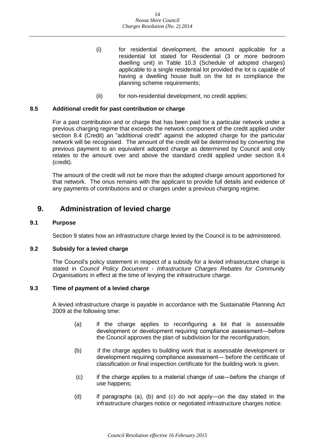- (i) for residential development, the amount applicable for a residential lot stated for Residential (3 or more bedroom dwelling unit) in Table 10.3 (Schedule of adopted charges) applicable to a single residential lot provided the lot is capable of having a dwelling house built on the lot in compliance the planning scheme requirements;
- (ii) for non-residential development, no credit applies;

#### <span id="page-13-0"></span>**8.5 Additional credit for past contribution or charge**

For a past contribution and or charge that has been paid for a particular network under a previous charging regime that exceeds the network component of the credit applied under section 8.4 (Credit) an "additional credit" against the adopted charge for the particular network will be recognised. The amount of the credit will be determined by converting the previous payment to an equivalent adopted charge as determined by Council and only relates to the amount over and above the standard credit applied under section 8.4 (credit).

The amount of the credit will not be more than the adopted charge amount apportioned for that network. The onus remains with the applicant to provide full details and evidence of any payments of contributions and or charges under a previous charging regime.

## <span id="page-13-1"></span>**9. Administration of levied charge**

#### <span id="page-13-2"></span>**9.1 Purpose**

Section 9 states how an infrastructure charge levied by the Council is to be administered.

#### <span id="page-13-3"></span>**9.2 Subsidy for a levied charge**

The Council's policy statement in respect of a subsidy for a levied infrastructure charge is stated in *Council Policy Document - Infrastructure Charges Rebates for Community Organisations* in effect at the time of levying the infrastructure charge.

#### <span id="page-13-4"></span>**9.3 Time of payment of a levied charge**

A levied infrastructure charge is payable in accordance with the Sustainable Planning Act 2009 at the following time:

- (a) if the charge applies to reconfiguring a lot that is assessable development or development requiring compliance assessment―before the Council approves the plan of subdivision for the reconfiguration;
- (b) if the charge applies to building work that is assessable development or development requiring compliance assessment― before the certificate of classification or final inspection certificate for the building work is given.
- (c) if the charge applies to a material change of use―before the change of use happens;
- (d) if paragraphs (a), (b) and (c) do not apply―on the day stated in the infrastructure charges notice or negotiated infrastructure charges notice.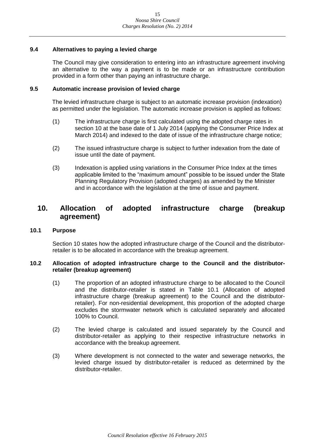#### <span id="page-14-0"></span>**9.4 Alternatives to paying a levied charge**

The Council may give consideration to entering into an infrastructure agreement involving an alternative to the way a payment is to be made or an infrastructure contribution provided in a form other than paying an infrastructure charge.

#### <span id="page-14-1"></span>**9.5 Automatic increase provision of levied charge**

The levied infrastructure charge is subject to an automatic increase provision (indexation) as permitted under the legislation. The automatic increase provision is applied as follows:

- (1) The infrastructure charge is first calculated using the adopted charge rates in section 10 at the base date of 1 July 2014 (applying the Consumer Price Index at March 2014) and indexed to the date of issue of the infrastructure charge notice;
- (2) The issued infrastructure charge is subject to further indexation from the date of issue until the date of payment.
- (3) Indexation is applied using variations in the Consumer Price Index at the times applicable limited to the "maximum amount" possible to be issued under the State Planning Regulatory Provision (adopted charges) as amended by the Minister and in accordance with the legislation at the time of issue and payment.

## <span id="page-14-2"></span>**10. Allocation of adopted infrastructure charge (breakup agreement)**

#### <span id="page-14-3"></span>**10.1 Purpose**

Section 10 states how the adopted infrastructure charge of the Council and the distributorretailer is to be allocated in accordance with the breakup agreement.

#### <span id="page-14-4"></span>**10.2 Allocation of adopted infrastructure charge to the Council and the distributorretailer (breakup agreement)**

- (1) The proportion of an adopted infrastructure charge to be allocated to the Council and the distributor-retailer is stated in Table 10.1 (Allocation of adopted infrastructure charge (breakup agreement) to the Council and the distributorretailer). For non-residential development, this proportion of the adopted charge excludes the stormwater network which is calculated separately and allocated 100% to Council.
- (2) The levied charge is calculated and issued separately by the Council and distributor-retailer as applying to their respective infrastructure networks in accordance with the breakup agreement.
- (3) Where development is not connected to the water and sewerage networks, the levied charge issued by distributor-retailer is reduced as determined by the distributor-retailer.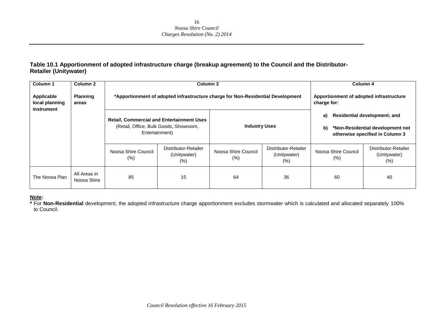#### **Table 10.1 Apportionment of adopted infrastructure charge (breakup agreement) to the Council and the Distributor-Retailer (Unitywater)**

| Column 1                                   | Column 2                    |                             | Column 3                                                                                                     |                                                        |                                                 |                                | Column 4                                                                                                   |
|--------------------------------------------|-----------------------------|-----------------------------|--------------------------------------------------------------------------------------------------------------|--------------------------------------------------------|-------------------------------------------------|--------------------------------|------------------------------------------------------------------------------------------------------------|
| Applicable<br>local planning<br>instrument | <b>Planning</b><br>areas    |                             | *Apportionment of adopted infrastructure charge for Non-Residential Development                              | Apportionment of adopted infrastructure<br>charge for: |                                                 |                                |                                                                                                            |
|                                            |                             |                             | <b>Retail, Commercial and Entertainment Uses</b><br>(Retail, Office, Bulk Goods, Showroom,<br>Entertainment) |                                                        | <b>Industry Uses</b>                            |                                | <b>Residential development; and</b><br>*Non-Residential development not<br>otherwise specified in Column 3 |
|                                            |                             | Noosa Shire Council<br>(% ) | Distributor-Retailer<br>(Unitywater)<br>$(\%)$                                                               | Noosa Shire Council<br>$(\%)$                          | Distributor-Retailer<br>(Unitywater)<br>$(\% )$ | Noosa Shire Council<br>$(\% )$ | Distributor-Retailer<br>(Unitywater)<br>$(\% )$                                                            |
| The Noosa Plan                             | All Areas in<br>Noosa Shire | 85                          | 15                                                                                                           | 64                                                     | 36                                              | 60                             | 40                                                                                                         |

#### **Note:**

**\*** For **Non-Residential** development, the adopted infrastructure charge apportionment excludes stormwater which is calculated and allocated separately 100% to Council.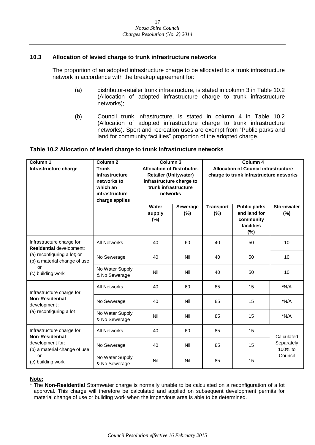#### <span id="page-16-0"></span>**10.3 Allocation of levied charge to trunk infrastructure networks**

The proportion of an adopted infrastructure charge to be allocated to a trunk infrastructure network in accordance with the breakup agreement for:

- (a) distributor-retailer trunk infrastructure, is stated in column 3 in Table 10.2 (Allocation of adopted infrastructure charge to trunk infrastructure networks);
- (b) Council trunk infrastructure, is stated in column 4 in Table 10.2 (Allocation of adopted infrastructure charge to trunk infrastructure networks). Sport and recreation uses are exempt from "Public parks and land for community facilities" proportion of the adopted charge.

#### **Table 10.2 Allocation of levied charge to trunk infrastructure networks**

| Column 1<br>Infrastructure charge                            | Column <sub>2</sub><br><b>Trunk</b><br>infrastructure<br>networks to<br>which an<br>infrastructure<br>charge applies |                        | Column <sub>3</sub><br><b>Allocation of Distributor-</b><br><b>Retailer (Unitywater)</b><br>infrastructure charge to<br>trunk infrastructure<br>networks | Column 4<br><b>Allocation of Council infrastructure</b><br>charge to trunk infrastructure networks |                                                                       |                          |
|--------------------------------------------------------------|----------------------------------------------------------------------------------------------------------------------|------------------------|----------------------------------------------------------------------------------------------------------------------------------------------------------|----------------------------------------------------------------------------------------------------|-----------------------------------------------------------------------|--------------------------|
|                                                              |                                                                                                                      | Water<br>supply<br>(%) | Sewerage<br>(%)                                                                                                                                          | <b>Transport</b><br>(%)                                                                            | <b>Public parks</b><br>and land for<br>community<br>facilities<br>(%) | <b>Stormwater</b><br>(%) |
| Infrastructure charge for<br>Residential development:        | <b>All Networks</b>                                                                                                  | 40                     | 60                                                                                                                                                       | 40                                                                                                 | 50                                                                    | 10                       |
| (a) reconfiguring a lot; or<br>(b) a material change of use; | No Sewerage                                                                                                          | 40                     | Nil                                                                                                                                                      | 40                                                                                                 | 50                                                                    | 10                       |
| or<br>(c) building work                                      | No Water Supply<br>& No Sewerage                                                                                     | Nil                    | Nil                                                                                                                                                      | 40                                                                                                 | 50                                                                    | 10                       |
| Infrastructure charge for                                    | <b>All Networks</b>                                                                                                  | 40                     | 60                                                                                                                                                       | 85                                                                                                 | 15                                                                    | $*N/A$                   |
| <b>Non-Residential</b><br>development :                      | No Sewerage                                                                                                          | 40                     | Nil                                                                                                                                                      | 85                                                                                                 | 15                                                                    | $*N/A$                   |
| (a) reconfiguring a lot                                      | No Water Supply<br>& No Sewerage                                                                                     | Nil                    | Nil                                                                                                                                                      | 85                                                                                                 | 15                                                                    | *N/A                     |
| Infrastructure charge for<br><b>Non-Residential</b>          | <b>All Networks</b>                                                                                                  | 40                     | 60                                                                                                                                                       | 85                                                                                                 | 15                                                                    | Calculated               |
| development for:<br>(b) a material change of use;            | No Sewerage                                                                                                          | 40                     | Nil                                                                                                                                                      | 85                                                                                                 | 15                                                                    | Separately<br>100% to    |
| or<br>(c) building work                                      | No Water Supply<br>& No Sewerage                                                                                     | Nil                    | Nil                                                                                                                                                      | 85                                                                                                 | 15                                                                    | Council                  |

#### **Note:**

\* The **Non-Residential** Stormwater charge is normally unable to be calculated on a reconfiguration of a lot approval. This charge will therefore be calculated and applied on subsequent development permits for material change of use or building work when the impervious area is able to be determined.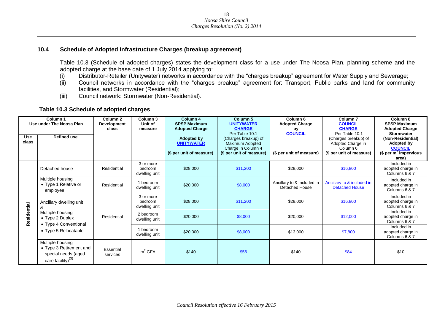#### **10.4 Schedule of Adopted Infrastructure Charges (breakup agreement)**

Table 10.3 (Schedule of adopted charges) states the development class for a use under The Noosa Plan, planning scheme and the adopted charge at the base date of 1 July 2014 applying to:

- (i) Distributor-Retailer (Unitywater) networks in accordance with the "charges breakup" agreement for Water Supply and Sewerage;
- (ii) Council networks in accordance with the "charges breakup" agreement for: Transport, Public parks and land for community facilities, and Stormwater (Residential);
- (iii) Council network: Stormwater (Non-Residential).

#### **Table 10.3 Schedule of adopted charges**

<span id="page-17-0"></span>

| Column 1<br>Use under The Noosa Plan |                                                                                            | Column <sub>2</sub><br>Development<br>class | Column 3<br>Unit of<br>measure        | Column 4<br><b>SPSP Maximum</b><br><b>Adopted Charge</b>           | Column <sub>5</sub><br><b>UNITYWATER</b><br><b>CHARGE</b><br>Per Table 10.1               | Column <sub>6</sub><br><b>Adopted Charge</b><br>by<br><b>COUNCIL</b> | Column <sub>7</sub><br><b>COUNCIL</b><br><b>CHARGE</b><br>Per Table 10.1                     | Column 8<br><b>SPSP Maximum</b><br><b>Adopted Charge</b><br><b>Stormwater</b>                  |
|--------------------------------------|--------------------------------------------------------------------------------------------|---------------------------------------------|---------------------------------------|--------------------------------------------------------------------|-------------------------------------------------------------------------------------------|----------------------------------------------------------------------|----------------------------------------------------------------------------------------------|------------------------------------------------------------------------------------------------|
| <b>Use</b><br>class                  | Defined use                                                                                |                                             |                                       | <b>Adopted by</b><br><b>UNITYWATER</b><br>(\$ per unit of measure) | (Charges breakup) of<br>Maximum Adopted<br>Charge in Column 4<br>(\$ per unit of measure) | (\$ per unit of measure)                                             | (Charges breakup) of<br>Adopted Charge in<br>Column <sub>6</sub><br>(\$ per unit of measure) | (Non-Residential)<br>Adopted by<br><b>COUNCIL</b><br>\$ per m <sup>2</sup> impervious<br>area) |
|                                      | Detached house                                                                             | Residential                                 | 3 or more<br>bedroom<br>dwelling unit | \$28,000                                                           | \$11,200                                                                                  | \$28,000                                                             | \$16,800                                                                                     | Included in<br>adopted charge in<br>Columns 6 & 7                                              |
|                                      | Multiple housing<br>• Type 1 Relative or<br>employee                                       | Residential                                 | 1 bedroom<br>dwelling unit            | \$20,000                                                           | \$8,000                                                                                   | Ancillary to & included in<br>Detached House                         | Ancillary to & included in<br><b>Detached House</b>                                          | Included in<br>adopted charge in<br>Columns 6 & 7                                              |
|                                      | Ancillary dwelling unit<br>&                                                               |                                             | 3 or more<br>bedroom<br>dwelling unit | \$28,000                                                           | \$11,200                                                                                  | \$28,000                                                             | \$16,800                                                                                     | Included in<br>adopted charge in<br>Columns 6 & 7                                              |
| Residential                          | Multiple housing<br>$\bullet$ Type 2 Duplex                                                | Residential                                 | 2 bedroom<br>dwelling unit            | \$20,000                                                           | \$8,000                                                                                   | \$20,000                                                             | \$12,000                                                                                     | Included in<br>adopted charge in<br>Columns 6 & 7                                              |
|                                      | • Type 4 Conventional<br>• Type 5 Relocatable                                              |                                             | 1 bedroom<br>dwelling unit            | \$20,000                                                           | \$8,000                                                                                   | \$13,000                                                             | \$7,800                                                                                      | Included in<br>adopted charge in<br>Columns 6 & 7                                              |
|                                      | Multiple housing<br>• Type 3 Retirement and<br>special needs (aged<br>care facility) $(3)$ | Essential<br>services                       | m <sup>2</sup> GFA                    | \$140                                                              | \$56                                                                                      | \$140                                                                | \$84                                                                                         | \$10                                                                                           |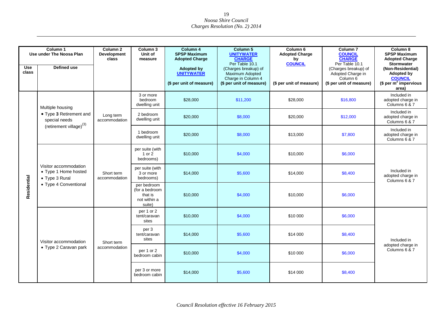| <b>Use</b><br>class | Column 1<br>Use under The Noosa Plan<br>Defined use                                      | Column <sub>2</sub><br>Development<br>class | Column 3<br>Unit of<br>measure                                     | Column 4<br><b>SPSP Maximum</b><br><b>Adopted Charge</b><br><b>Adopted by</b><br><b>UNITYWATER</b> | Column 5<br><b>UNITYWATER</b><br><b>CHARGE</b><br>Per Table 10.1<br>(Charges breakup) of<br><b>Maximum Adopted</b> | Column <sub>6</sub><br><b>Adopted Charge</b><br>by<br><b>COUNCIL</b> | Column <sub>7</sub><br><b>COUNCIL</b><br><b>CHARGE</b><br>Per Table 10.1<br>(Charges breakup) of<br>Adopted Charge in | Column 8<br><b>SPSP Maximum</b><br><b>Adopted Charge</b><br><b>Stormwater</b><br>(Non-Residential)<br><b>Adopted by</b> |
|---------------------|------------------------------------------------------------------------------------------|---------------------------------------------|--------------------------------------------------------------------|----------------------------------------------------------------------------------------------------|--------------------------------------------------------------------------------------------------------------------|----------------------------------------------------------------------|-----------------------------------------------------------------------------------------------------------------------|-------------------------------------------------------------------------------------------------------------------------|
|                     |                                                                                          |                                             |                                                                    | (\$ per unit of measure)                                                                           | Charge in Column 4<br>(\$ per unit of measure)                                                                     | (\$ per unit of measure)                                             | Column 6<br>(\$ per unit of measure)                                                                                  | <b>COUNCIL</b><br>(\$ per $m^2$ impervious<br>area)                                                                     |
|                     | Multiple housing                                                                         |                                             | 3 or more<br>bedroom<br>dwelling unit                              | \$28,000                                                                                           | \$11,200                                                                                                           | \$28,000                                                             | \$16,800                                                                                                              | Included in<br>adopted charge in<br>Columns 6 & 7                                                                       |
|                     | • Type 3 Retirement and<br>special needs                                                 | Long term<br>accommodation                  | 2 bedroom<br>dwelling unit                                         | \$20,000                                                                                           | \$8,000                                                                                                            | \$20,000                                                             | \$12,000                                                                                                              | Included in<br>adopted charge in<br>Columns 6 & 7                                                                       |
| Residential         | (retirement village) <sup>(3)</sup>                                                      |                                             | 1 bedroom<br>dwelling unit                                         | \$20,000                                                                                           | \$8,000                                                                                                            | \$13,000                                                             | \$7,800                                                                                                               | Included in<br>adopted charge in<br>Columns 6 & 7                                                                       |
|                     | Visitor accommodation<br>• Type 1 Home hosted<br>• Type 3 Rural<br>• Type 4 Conventional | Short term<br>accommodation                 | per suite (with<br>1 or 2<br>bedrooms)                             | \$10,000                                                                                           | \$4,000                                                                                                            | \$10,000                                                             | \$6,000                                                                                                               |                                                                                                                         |
|                     |                                                                                          |                                             | per suite (with<br>3 or more<br>bedrooms)                          | \$14,000                                                                                           | \$5,600                                                                                                            | \$14,000                                                             | \$8,400                                                                                                               | Included in<br>adopted charge in<br>Columns 6 & 7                                                                       |
|                     |                                                                                          |                                             | per bedroom<br>(for a bedroom<br>that is<br>not within a<br>suite) | \$10,000                                                                                           | \$4,000                                                                                                            | \$10,000                                                             | \$6,000                                                                                                               |                                                                                                                         |
|                     |                                                                                          |                                             | per 1 or 2<br>tent/caravan<br>sites                                | \$10,000                                                                                           | \$4,000                                                                                                            | \$10 000                                                             | \$6,000                                                                                                               |                                                                                                                         |
|                     | Visitor accommodation                                                                    | Short term                                  | per 3<br>tent/caravan<br>sites                                     | \$14,000                                                                                           | \$5,600                                                                                                            | \$14 000                                                             | \$8,400                                                                                                               | Included in                                                                                                             |
|                     | • Type 2 Caravan park                                                                    | accommodation                               | per 1 or 2<br>bedroom cabin                                        | \$10,000                                                                                           | \$4,000                                                                                                            | \$10 000                                                             | \$6,000                                                                                                               | adopted charge in<br>Columns 6 & 7                                                                                      |
|                     |                                                                                          |                                             | per 3 or more<br>bedroom cabin                                     | \$14,000                                                                                           | \$5,600                                                                                                            | \$14 000                                                             | \$8,400                                                                                                               |                                                                                                                         |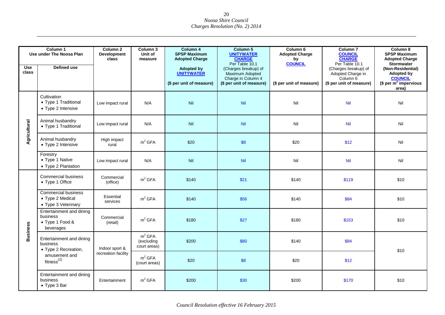|                 | Column 1<br>Use under The Noosa Plan                                  | Column <sub>2</sub><br>Development<br>class | Column 3<br>Unit of<br>measure                   | Column 4<br><b>SPSP Maximum</b><br><b>Adopted Charge</b>           | Column 5<br><b>UNITYWATER</b><br><b>CHARGE</b><br>Per Table 10.1                          | Column 6<br><b>Adopted Charge</b><br>by<br><b>COUNCIL</b> | Column <sub>7</sub><br><b>COUNCIL</b><br><b>CHARGE</b><br>Per Table 10.1          | Column 8<br><b>SPSP Maximum</b><br><b>Adopted Charge</b><br><b>Stormwater</b>          |
|-----------------|-----------------------------------------------------------------------|---------------------------------------------|--------------------------------------------------|--------------------------------------------------------------------|-------------------------------------------------------------------------------------------|-----------------------------------------------------------|-----------------------------------------------------------------------------------|----------------------------------------------------------------------------------------|
| Use<br>class    | <b>Defined use</b>                                                    |                                             |                                                  | <b>Adopted by</b><br><b>UNITYWATER</b><br>(\$ per unit of measure) | (Charges breakup) of<br>Maximum Adopted<br>Charge in Column 4<br>(\$ per unit of measure) | (\$ per unit of measure)                                  | (Charges breakup) of<br>Adopted Charge in<br>Column 6<br>(\$ per unit of measure) | (Non-Residential)<br>Adopted by<br><b>COUNCIL</b><br>(\$ per $m^2$ impervious<br>area) |
|                 | Cultivation<br>• Type 1 Traditional<br>• Type 2 Intensive             | Low impact rural                            | N/A                                              | Nil                                                                | Nil                                                                                       | Nil                                                       | Nil                                                                               | Nil                                                                                    |
| Agricultural    | Animal husbandry<br>• Type 1 Traditional                              | Low impact rural                            | N/A                                              | Nil                                                                | Nil                                                                                       | Nil                                                       | Nil                                                                               | Nil                                                                                    |
|                 | Animal husbandry<br>• Type 2 Intensive                                | High impact<br>rural                        | m <sup>2</sup> GFA                               | \$20                                                               | \$8                                                                                       | \$20                                                      | \$12                                                                              | Nil                                                                                    |
|                 | Forestry<br>• Type 1 Native<br>• Type 2 Plantation                    | Low impact rural                            | N/A                                              | Nil                                                                | <b>Nil</b>                                                                                | Nil                                                       | Nil                                                                               | Nil                                                                                    |
|                 | <b>Commercial business</b><br>• Type 1 Office                         | Commercial<br>(office)                      | m <sup>2</sup> GFA                               | \$140                                                              | \$21                                                                                      | \$140                                                     | \$119                                                                             | \$10                                                                                   |
|                 | <b>Commercial business</b><br>• Type 2 Medical<br>• Type 3 Veterinary | Essential<br>services                       | m <sup>2</sup> GFA                               | \$140                                                              | \$56                                                                                      | \$140                                                     | \$84                                                                              | \$10                                                                                   |
|                 | Entertainment and dining<br>business<br>• Type 1 Food &<br>beverages  | Commercial<br>(retail)                      | m <sup>2</sup> GFA                               | \$180                                                              | \$27                                                                                      | \$180                                                     | \$153                                                                             | \$10                                                                                   |
| <b>Business</b> | Entertainment and dining<br>business<br>• Type 2 Recreation,          | Indoor sport &                              | m <sup>2</sup> GFA<br>(excluding<br>court areas) | \$200                                                              | \$80                                                                                      | \$140                                                     | \$84                                                                              | \$10                                                                                   |
|                 | amusement and<br>fitness $^{(2)}$                                     | recreation facility                         | m <sup>2</sup> GFA<br>(court areas)              | \$20                                                               | \$8                                                                                       | \$20                                                      | \$12                                                                              |                                                                                        |
|                 | Entertainment and dining<br>business<br>• Type 3 Bar                  | Entertainment                               | m <sup>2</sup> GFA                               | \$200                                                              | \$30                                                                                      | \$200                                                     | \$170                                                                             | \$10                                                                                   |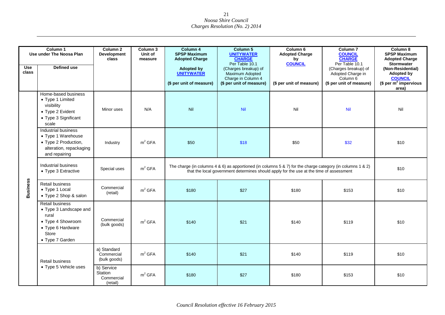|                     | Column 1                                                                                                                 |                                                 |                                |                                                                                                                                | Column 5                                                                                                                                                                                                          | Column 6                                                                  |                                                                                                                                                               | Column 8                                                                                                                                                                  |  |
|---------------------|--------------------------------------------------------------------------------------------------------------------------|-------------------------------------------------|--------------------------------|--------------------------------------------------------------------------------------------------------------------------------|-------------------------------------------------------------------------------------------------------------------------------------------------------------------------------------------------------------------|---------------------------------------------------------------------------|---------------------------------------------------------------------------------------------------------------------------------------------------------------|---------------------------------------------------------------------------------------------------------------------------------------------------------------------------|--|
| <b>Use</b><br>class | Use under The Noosa Plan<br><b>Defined use</b>                                                                           | Column 2<br><b>Development</b><br>class         | Column 3<br>Unit of<br>measure | Column 4<br><b>SPSP Maximum</b><br><b>Adopted Charge</b><br><b>Adopted by</b><br><b>UNITYWATER</b><br>(\$ per unit of measure) | <b>UNITYWATER</b><br><b>CHARGE</b><br>Per Table 10.1<br>(Charges breakup) of<br>Maximum Adopted<br>Charge in Column 4<br>(\$ per unit of measure)                                                                 | <b>Adopted Charge</b><br>by<br><b>COUNCIL</b><br>(\$ per unit of measure) | Column <sub>7</sub><br><b>COUNCIL</b><br><b>CHARGE</b><br>Per Table 10.1<br>(Charges breakup) of<br>Adopted Charge in<br>Column 6<br>(\$ per unit of measure) | <b>SPSP Maximum</b><br><b>Adopted Charge</b><br><b>Stormwater</b><br>(Non-Residential)<br><b>Adopted by</b><br><b>COUNCIL</b><br>\$per m <sup>2</sup> impervious<br>area) |  |
|                     | Home-based business<br>• Type 1 Limited<br>visibility<br>• Type 2 Evident<br>• Type 3 Significant<br>scale               | Minor uses                                      | N/A                            | Nil                                                                                                                            | Nil                                                                                                                                                                                                               | Nil                                                                       | Nil                                                                                                                                                           | Nil                                                                                                                                                                       |  |
| <b>Business</b>     | Industrial business<br>• Type 1 Warehouse<br>• Type 2 Production,<br>alteration, repackaging<br>and repairing            | Industry                                        | m <sup>2</sup> GFA             | \$50                                                                                                                           | \$18                                                                                                                                                                                                              | \$50                                                                      | \$32                                                                                                                                                          | \$10                                                                                                                                                                      |  |
|                     | Industrial business<br>• Type 3 Extractive                                                                               | Special uses                                    | m <sup>2</sup> GFA             |                                                                                                                                | The charge (in columns $4 \& 6$ ) as apportioned (in columns $5 \& 7$ ) for the charge category (in columns $1 \& 2$ )<br>that the local government determines should apply for the use at the time of assessment |                                                                           |                                                                                                                                                               |                                                                                                                                                                           |  |
|                     | <b>Retail business</b><br>• Type 1 Local<br>• Type 2 Shop & salon                                                        | Commercial<br>(retail)                          | m <sup>2</sup> GFA             | \$180                                                                                                                          | \$27                                                                                                                                                                                                              | \$180                                                                     | \$153                                                                                                                                                         | \$10                                                                                                                                                                      |  |
|                     | Retail business<br>• Type 3 Landscape and<br>rural<br>• Type 4 Showroom<br>• Type 6 Hardware<br>Store<br>• Type 7 Garden | Commercial<br>(bulk goods)                      | m <sup>2</sup> GFA             | \$140                                                                                                                          | \$21                                                                                                                                                                                                              | \$140                                                                     | \$119                                                                                                                                                         | \$10                                                                                                                                                                      |  |
|                     | <b>Retail business</b>                                                                                                   | a) Standard<br>Commercial<br>(bulk goods)       | m <sup>2</sup> GFA             | \$140                                                                                                                          | \$21                                                                                                                                                                                                              | \$140                                                                     | \$119                                                                                                                                                         | \$10                                                                                                                                                                      |  |
|                     | • Type 5 Vehicle uses                                                                                                    | b) Service<br>Station<br>Commercial<br>(retail) | m <sup>2</sup> GFA             | \$180                                                                                                                          | \$27                                                                                                                                                                                                              | \$180                                                                     | \$153                                                                                                                                                         | \$10                                                                                                                                                                      |  |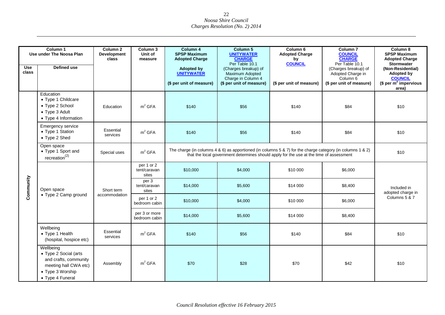|              | Column 1<br>Use under The Noosa Plan                                                                                         | Column <sub>2</sub><br><b>Development</b><br>class | Column 3<br>Unit of<br>measure      | Column 4<br><b>SPSP Maximum</b><br><b>Adopted Charge</b>           | Column 5<br><b>UNITYWATER</b><br><b>CHARGE</b><br>Per Table 10.1                                                                                                                                      | Column 6<br><b>Adopted Charge</b><br>by<br><b>COUNCIL</b> | Column <sub>7</sub><br><b>COUNCIL</b><br><b>CHARGE</b><br>Per Table 10.1          | Column 8<br><b>SPSP Maximum</b><br><b>Adopted Charge</b><br><b>Stormwater</b>                 |  |
|--------------|------------------------------------------------------------------------------------------------------------------------------|----------------------------------------------------|-------------------------------------|--------------------------------------------------------------------|-------------------------------------------------------------------------------------------------------------------------------------------------------------------------------------------------------|-----------------------------------------------------------|-----------------------------------------------------------------------------------|-----------------------------------------------------------------------------------------------|--|
| Use<br>class | Defined use                                                                                                                  |                                                    |                                     | <b>Adopted by</b><br><b>UNITYWATER</b><br>(\$ per unit of measure) | (Charges breakup) of<br>Maximum Adopted<br>Charge in Column 4<br>(\$ per unit of measure)                                                                                                             | (\$ per unit of measure)                                  | (Charges breakup) of<br>Adopted Charge in<br>Column 6<br>(\$ per unit of measure) | (Non-Residential)<br><b>Adopted by</b><br><b>COUNCIL</b><br>$$$ per $m^2$ impervious<br>area) |  |
|              | Education<br>• Type 1 Childcare<br>• Type 2 School<br>• Type 3 Adult<br>• Type 4 Information                                 | Education                                          | m <sup>2</sup> GFA                  | \$140                                                              | \$56                                                                                                                                                                                                  | \$140                                                     | \$84                                                                              | \$10                                                                                          |  |
|              | <b>Emergency service</b><br>• Type 1 Station<br>• Type 2 Shed                                                                | Essential<br>services                              | m <sup>2</sup> GFA                  | \$140                                                              | \$56                                                                                                                                                                                                  | \$140                                                     | \$84                                                                              | \$10                                                                                          |  |
|              | Open space<br>• Type 1 Sport and<br>$r$ ecreation <sup>(2)</sup>                                                             | Special uses                                       | m <sup>2</sup> GFA                  |                                                                    | The charge (in columns 4 & 6) as apportioned (in columns 5 & 7) for the charge category (in columns 1 & 2)<br>that the local government determines should apply for the use at the time of assessment |                                                           |                                                                                   |                                                                                               |  |
|              | Open space                                                                                                                   | Short term<br>accommodation                        | per 1 or 2<br>tent/caravan<br>sites | \$10,000                                                           | \$4,000                                                                                                                                                                                               | \$10 000                                                  | \$6,000                                                                           |                                                                                               |  |
| Community    |                                                                                                                              |                                                    | per 3<br>tent/caravan<br>sites      | \$14,000                                                           | \$5,600                                                                                                                                                                                               | \$14 000                                                  | \$8,400                                                                           | Included in<br>adopted charge in                                                              |  |
|              | • Type 2 Camp ground                                                                                                         |                                                    | per 1 or 2<br>bedroom cabin         | \$10,000                                                           | \$4,000                                                                                                                                                                                               | \$10 000                                                  | \$6,000                                                                           | Columns 5 & 7                                                                                 |  |
|              |                                                                                                                              |                                                    | per 3 or more<br>bedroom cabin      | \$14,000                                                           | \$5,600                                                                                                                                                                                               | \$14 000                                                  | \$8,400                                                                           |                                                                                               |  |
|              | Wellbeing<br>• Type 1 Health<br>(hospital, hospice etc)                                                                      | Essential<br>services                              | m <sup>2</sup> GFA                  | \$140                                                              | \$56                                                                                                                                                                                                  | \$140                                                     | \$84                                                                              | \$10                                                                                          |  |
|              | Wellbeing<br>• Type 2 Social (arts<br>and crafts, community<br>meeting hall CWA etc)<br>• Type 3 Worship<br>• Type 4 Funeral | Assembly                                           | m <sup>2</sup> GFA                  | \$70                                                               | \$28                                                                                                                                                                                                  | \$70                                                      | \$42                                                                              | \$10                                                                                          |  |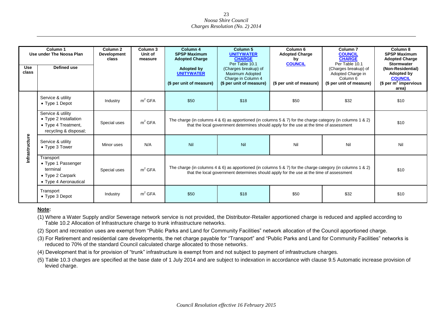| <b>Use</b><br>class | Column 1<br>Use under The Noosa Plan<br><b>Defined use</b>                                 | Column <sub>2</sub><br>Development<br>class | Column 3<br>Unit of<br>measure | Column 4<br><b>SPSP Maximum</b><br><b>Adopted Charge</b><br><b>Adopted by</b><br><b>UNITYWATER</b><br>(\$ per unit of measure) | Column <sub>5</sub><br><b>UNITYWATER</b><br><b>CHARGE</b><br>Per Table 10.1<br>(Charges breakup) of<br>Maximum Adopted<br>Charge in Column 4<br>(\$ per unit of measure)                                          | Column <sub>6</sub><br><b>Adopted Charge</b><br>by<br><b>COUNCIL</b><br>(\$ per unit of measure) | Column <sub>7</sub><br><b>COUNCIL</b><br><b>CHARGE</b><br>Per Table 10.1<br>(Charges breakup) of<br>Adopted Charge in<br>Column <sub>6</sub><br>(\$ per unit of measure) | Column 8<br><b>SPSP Maximum</b><br><b>Adopted Charge</b><br><b>Stormwater</b><br>(Non-Residential)<br>Adopted by<br><b>COUNCIL</b><br>(\$ per $m^2$ impervious<br>area) |  |
|---------------------|--------------------------------------------------------------------------------------------|---------------------------------------------|--------------------------------|--------------------------------------------------------------------------------------------------------------------------------|-------------------------------------------------------------------------------------------------------------------------------------------------------------------------------------------------------------------|--------------------------------------------------------------------------------------------------|--------------------------------------------------------------------------------------------------------------------------------------------------------------------------|-------------------------------------------------------------------------------------------------------------------------------------------------------------------------|--|
|                     | Service & utility<br>• Type 1 Depot                                                        | Industry                                    | m <sup>2</sup> GFA             | \$50                                                                                                                           | \$18                                                                                                                                                                                                              | \$50                                                                                             | \$32                                                                                                                                                                     | \$10                                                                                                                                                                    |  |
|                     | Service & utility<br>• Type 2 Installation<br>• Type 4 Treatment,<br>recycling & disposal; | Special uses                                | m <sup>2</sup> GFA             |                                                                                                                                | The charge (in columns $4 \& 6$ ) as apportioned (in columns $5 \& 7$ ) for the charge category (in columns $1 \& 2$ )<br>that the local government determines should apply for the use at the time of assessment |                                                                                                  |                                                                                                                                                                          |                                                                                                                                                                         |  |
| Infrastructure      | Service & utility<br>• Type 3 Tower                                                        | Minor uses                                  | N/A                            | Nil                                                                                                                            | Nil                                                                                                                                                                                                               | Nil                                                                                              | Nil                                                                                                                                                                      | Nil                                                                                                                                                                     |  |
|                     | Transport<br>• Type 1 Passenger<br>terminal<br>• Type 2 Carpark<br>• Type 4 Aeronautical   | Special uses                                | m <sup>2</sup> GFA             |                                                                                                                                | The charge (in columns 4 & 6) as apportioned (in columns 5 & 7) for the charge category (in columns 1 & 2)<br>that the local government determines should apply for the use at the time of assessment             |                                                                                                  |                                                                                                                                                                          |                                                                                                                                                                         |  |
|                     | Transport<br>$\bullet$ Type 3 Depot                                                        | Industry                                    | $m2$ GFA                       | \$50                                                                                                                           | \$18                                                                                                                                                                                                              | \$50                                                                                             | \$32                                                                                                                                                                     | \$10                                                                                                                                                                    |  |

#### **Note:**

(1) Where a Water Supply and/or Sewerage network service is not provided, the Distributor-Retailer apportioned charge is reduced and applied according to Table 10.2 Allocation of Infrastructure charge to trunk infrastructure networks.

(2) Sport and recreation uses are exempt from "Public Parks and Land for Community Facilities" network allocation of the Council apportioned charge.

(3) For Retirement and residential care developments, the net charge payable for "Transport" and "Public Parks and Land for Community Facilities" networks is reduced to 70% of the standard Council calculated charge allocated to those networks.

(4) Development that is for provision of "trunk" infrastructure is exempt from and not subject to payment of infrastructure charges.

(5) Table 10.3 charges are specified at the base date of 1 July 2014 and are subject to indexation in accordance with clause 9.5 Automatic increase provision of levied charge.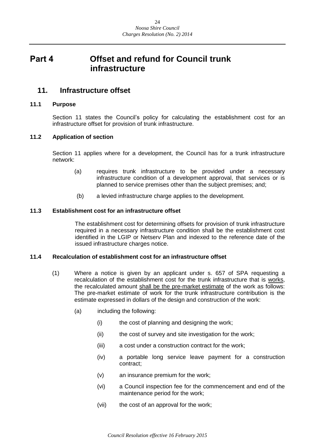## <span id="page-23-0"></span>**Part 4 Offset and refund for Council trunk infrastructure**

### <span id="page-23-1"></span>**11. Infrastructure offset**

#### <span id="page-23-2"></span>**11.1 Purpose**

Section 11 states the Council's policy for calculating the establishment cost for an infrastructure offset for provision of trunk infrastructure.

#### <span id="page-23-3"></span>**11.2 Application of section**

Section 11 applies where for a development, the Council has for a trunk infrastructure network:

- (a) requires trunk infrastructure to be provided under a necessary infrastructure condition of a development approval, that services or is planned to service premises other than the subject premises; and;
- (b) a levied infrastructure charge applies to the development.

#### <span id="page-23-4"></span>**11.3 Establishment cost for an infrastructure offset**

The establishment cost for determining offsets for provision of trunk infrastructure required in a necessary infrastructure condition shall be the establishment cost identified in the LGIP or Netserv Plan and indexed to the reference date of the issued infrastructure charges notice.

#### <span id="page-23-5"></span>**11.4 Recalculation of establishment cost for an infrastructure offset**

- (1) Where a notice is given by an applicant under s. 657 of SPA requesting a recalculation of the establishment cost for the trunk infrastructure that is works, the recalculated amount shall be the pre-market estimate of the work as follows: The pre-market estimate of work for the trunk infrastructure contribution is the estimate expressed in dollars of the design and construction of the work:
	- (a) including the following:
		- (i) the cost of planning and designing the work;
		- (ii) the cost of survey and site investigation for the work;
		- (iii) a cost under a construction contract for the work;
		- (iv) a portable long service leave payment for a construction contract;
		- (v) an insurance premium for the work;
		- (vi) a Council inspection fee for the commencement and end of the maintenance period for the work;
		- (vii) the cost of an approval for the work;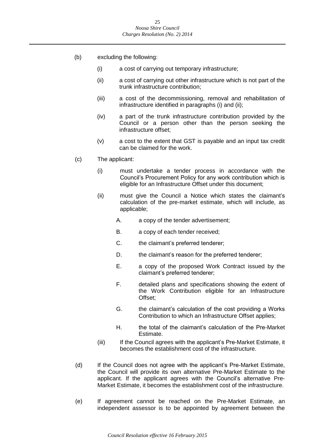- (b) excluding the following:
	- (i) a cost of carrying out temporary infrastructure;
	- (ii) a cost of carrying out other infrastructure which is not part of the trunk infrastructure contribution;
	- (iii) a cost of the decommissioning, removal and rehabilitation of infrastructure identified in paragraphs (i) and (ii);
	- (iv) a part of the trunk infrastructure contribution provided by the Council or a person other than the person seeking the infrastructure offset;
	- (v) a cost to the extent that GST is payable and an input tax credit can be claimed for the work.
- (c) The applicant:
	- (i) must undertake a tender process in accordance with the Council's Procurement Policy for any work contribution which is eligible for an Infrastructure Offset under this document;
	- (ii) must give the Council a Notice which states the claimant's calculation of the pre-market estimate, which will include, as applicable;
		- A. a copy of the tender advertisement;
		- B. a copy of each tender received;
		- C. the claimant's preferred tenderer;
		- D. the claimant's reason for the preferred tenderer;
		- E. a copy of the proposed Work Contract issued by the claimant's preferred tenderer;
		- F. detailed plans and specifications showing the extent of the Work Contribution eligible for an Infrastructure Offset;
		- G. the claimant's calculation of the cost providing a Works Contribution to which an Infrastructure Offset applies;
		- H. the total of the claimant's calculation of the Pre-Market Estimate.
	- (iii) If the Council agrees with the applicant's Pre-Market Estimate, it becomes the establishment cost of the infrastructure.
- (d) If the Council does not agree with the applicant's Pre-Market Estimate, the Council will provide its own alternative Pre-Market Estimate to the applicant. If the applicant agrees with the Council's alternative Pre-Market Estimate, it becomes the establishment cost of the infrastructure.
- (e) If agreement cannot be reached on the Pre-Market Estimate, an independent assessor is to be appointed by agreement between the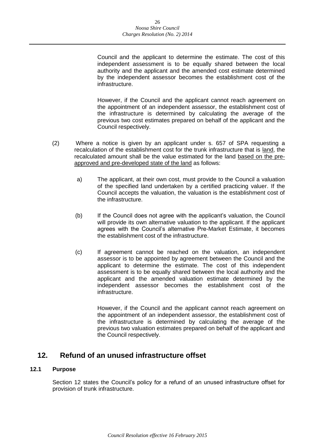Council and the applicant to determine the estimate. The cost of this independent assessment is to be equally shared between the local authority and the applicant and the amended cost estimate determined by the independent assessor becomes the establishment cost of the infrastructure.

However, if the Council and the applicant cannot reach agreement on the appointment of an independent assessor, the establishment cost of the infrastructure is determined by calculating the average of the previous two cost estimates prepared on behalf of the applicant and the Council respectively.

- (2) Where a notice is given by an applicant under s. 657 of SPA requesting a recalculation of the establishment cost for the trunk infrastructure that is land, the recalculated amount shall be the value estimated for the land based on the preapproved and pre-developed state of the land as follows:
	- a) The applicant, at their own cost, must provide to the Council a valuation of the specified land undertaken by a certified practicing valuer. If the Council accepts the valuation, the valuation is the establishment cost of the infrastructure.
	- (b) If the Council does not agree with the applicant's valuation, the Council will provide its own alternative valuation to the applicant. If the applicant agrees with the Council's alternative Pre-Market Estimate, it becomes the establishment cost of the infrastructure.
	- (c) If agreement cannot be reached on the valuation, an independent assessor is to be appointed by agreement between the Council and the applicant to determine the estimate. The cost of this independent assessment is to be equally shared between the local authority and the applicant and the amended valuation estimate determined by the independent assessor becomes the establishment cost of the infrastructure.

However, if the Council and the applicant cannot reach agreement on the appointment of an independent assessor, the establishment cost of the infrastructure is determined by calculating the average of the previous two valuation estimates prepared on behalf of the applicant and the Council respectively.

## <span id="page-25-0"></span>**12. Refund of an unused infrastructure offset**

#### <span id="page-25-1"></span>**12.1 Purpose**

Section 12 states the Council's policy for a refund of an unused infrastructure offset for provision of trunk infrastructure.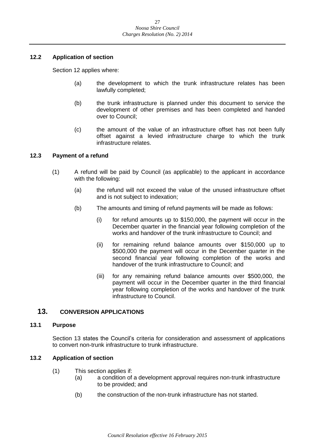#### <span id="page-26-0"></span>**12.2 Application of section**

Section 12 applies where:

- (a) the development to which the trunk infrastructure relates has been lawfully completed;
- (b) the trunk infrastructure is planned under this document to service the development of other premises and has been completed and handed over to Council;
- (c) the amount of the value of an infrastructure offset has not been fully offset against a levied infrastructure charge to which the trunk infrastructure relates.

#### <span id="page-26-1"></span>**12.3 Payment of a refund**

- (1) A refund will be paid by Council (as applicable) to the applicant in accordance with the following:
	- (a) the refund will not exceed the value of the unused infrastructure offset and is not subject to indexation;
	- (b) The amounts and timing of refund payments will be made as follows:
		- (i) for refund amounts up to \$150,000, the payment will occur in the December quarter in the financial year following completion of the works and handover of the trunk infrastructure to Council; and
		- (ii) for remaining refund balance amounts over \$150,000 up to \$500,000 the payment will occur in the December quarter in the second financial year following completion of the works and handover of the trunk infrastructure to Council; and
		- (iii) for any remaining refund balance amounts over \$500,000, the payment will occur in the December quarter in the third financial year following completion of the works and handover of the trunk infrastructure to Council.

#### <span id="page-26-2"></span>**13. CONVERSION APPLICATIONS**

#### <span id="page-26-3"></span>**13.1 Purpose**

Section 13 states the Council's criteria for consideration and assessment of applications to convert non-trunk infrastructure to trunk infrastructure.

#### <span id="page-26-4"></span>**13.2 Application of section**

- (1) This section applies if:
	- (a) a condition of a development approval requires non-trunk infrastructure to be provided; and
	- (b) the construction of the non-trunk infrastructure has not started.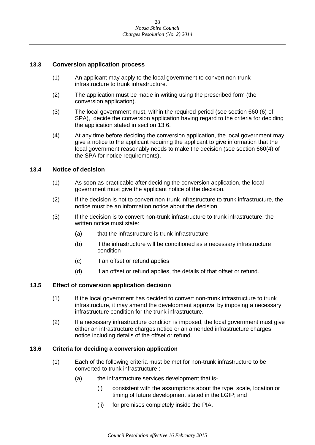#### <span id="page-27-0"></span>**13.3 Conversion application process**

- (1) An applicant may apply to the local government to convert non-trunk infrastructure to trunk infrastructure.
- (2) The application must be made in writing using the prescribed form (the conversion application).
- (3) The local government must, within the required period (see section 660 (6) of SPA), decide the conversion application having regard to the criteria for deciding the application stated in section 13.6.
- (4) At any time before deciding the conversion application, the local government may give a notice to the applicant requiring the applicant to give information that the local government reasonably needs to make the decision (see section 660(4) of the SPA for notice requirements).

#### <span id="page-27-1"></span>**13.4 Notice of decision**

- (1) As soon as practicable after deciding the conversion application, the local government must give the applicant notice of the decision.
- (2) If the decision is not to convert non-trunk infrastructure to trunk infrastructure, the notice must be an information notice about the decision.
- (3) If the decision is to convert non-trunk infrastructure to trunk infrastructure, the written notice must state:
	- (a) that the infrastructure is trunk infrastructure
	- (b) if the infrastructure will be conditioned as a necessary infrastructure condition
	- (c) if an offset or refund applies
	- (d) if an offset or refund applies, the details of that offset or refund.

#### <span id="page-27-2"></span>**13.5 Effect of conversion application decision**

- (1) If the local government has decided to convert non-trunk infrastructure to trunk infrastructure, it may amend the development approval by imposing a necessary infrastructure condition for the trunk infrastructure.
- (2) If a necessary infrastructure condition is imposed, the local government must give either an infrastructure charges notice or an amended infrastructure charges notice including details of the offset or refund.

#### <span id="page-27-3"></span>**13.6 Criteria for deciding a conversion application**

- (1) Each of the following criteria must be met for non-trunk infrastructure to be converted to trunk infrastructure :
	- (a) the infrastructure services development that is-
		- (i) consistent with the assumptions about the type, scale, location or timing of future development stated in the LGIP; and
		- (ii) for premises completely inside the PIA.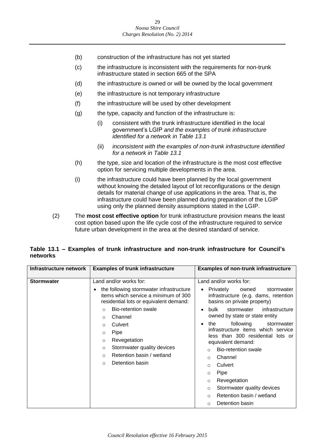- (b) construction of the infrastructure has not yet started
- (c) the infrastructure is inconsistent with the requirements for non-trunk infrastructure stated in section 665 of the SPA
- (d) the infrastructure is owned or will be owned by the local government
- (e) the infrastructure is not temporary infrastructure
- (f) the infrastructure will be used by other development
- (g) the type, capacity and function of the infrastructure is:
	- (i) consistent with the trunk infrastructure identified in the local government's LGIP *and the examples of trunk infrastructure identified for a network in Table 13.1*
	- (ii) *inconsistent with the examples of non-trunk infrastructure identified for a network in Table 13.1*
- (h) the type, size and location of the infrastructure is the most cost effective option for servicing multiple developments in the area.
- (i) the infrastructure could have been planned by the local government without knowing the detailed layout of lot reconfigurations or the design details for material change of use applications in the area. That is, the infrastructure could have been planned during preparation of the LGIP using only the planned density assumptions stated in the LGIP.
- (2) The **most cost effective option** for trunk infrastructure provision means the least cost option based upon the life cycle cost of the infrastructure required to service future urban development in the area at the desired standard of service.

#### **Table 13.1 – Examples of trunk infrastructure and non-trunk infrastructure for Council's networks**

| Infrastructure network | <b>Examples of trunk infrastructure</b>                                                                                   | <b>Examples of non-trunk infrastructure</b>                                                                          |  |  |  |
|------------------------|---------------------------------------------------------------------------------------------------------------------------|----------------------------------------------------------------------------------------------------------------------|--|--|--|
|                        |                                                                                                                           |                                                                                                                      |  |  |  |
| <b>Stormwater</b>      | Land and/or works for:                                                                                                    | Land and/or works for:                                                                                               |  |  |  |
|                        | the following stormwater infrastructure<br>items which service a minimum of 300<br>residential lots or equivalent demand: | Privately<br>owned<br>stormwater<br>$\bullet$<br>infrastructure (e.g. dams, retention<br>basins on private property) |  |  |  |
|                        | <b>Bio-retention swale</b><br>$\Omega$<br>Channel<br>$\circ$<br>Culvert<br>$\circ$                                        | bulk<br>stormwater<br>infrastructure<br>$\bullet$                                                                    |  |  |  |
|                        |                                                                                                                           | owned by state or state entity                                                                                       |  |  |  |
|                        |                                                                                                                           | following<br>the<br>stormwater<br>$\bullet$                                                                          |  |  |  |
|                        | Pipe<br>$\circ$                                                                                                           | infrastructure items which service<br>less than 300 residential lots or                                              |  |  |  |
|                        | Revegetation<br>$\circ$                                                                                                   | equivalent demand:                                                                                                   |  |  |  |
|                        | Stormwater quality devices<br>O                                                                                           | Bio-retention swale<br>$\Omega$                                                                                      |  |  |  |
|                        | Retention basin / wetland<br>$\Omega$                                                                                     | Channel<br>O                                                                                                         |  |  |  |
|                        | Detention basin<br>$\Omega$                                                                                               | Culvert<br>$\Omega$                                                                                                  |  |  |  |
|                        |                                                                                                                           | Pipe<br>$\circ$                                                                                                      |  |  |  |
|                        |                                                                                                                           | Revegetation<br>$\circ$                                                                                              |  |  |  |
|                        |                                                                                                                           | Stormwater quality devices<br>$\circ$                                                                                |  |  |  |
|                        |                                                                                                                           | Retention basin / wetland<br>$\Omega$                                                                                |  |  |  |
|                        |                                                                                                                           | Detention basin<br>$\Omega$                                                                                          |  |  |  |